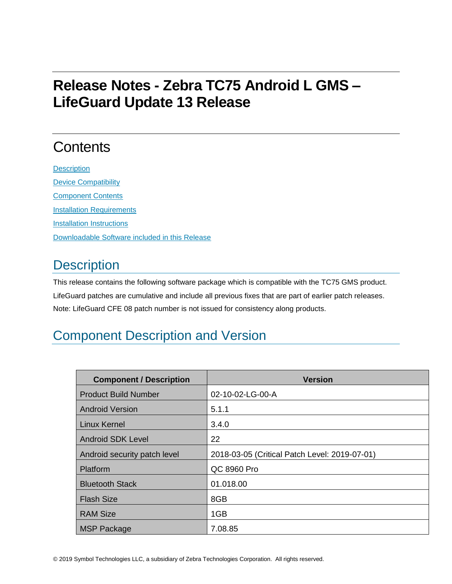# **Release Notes - Zebra TC75 Android L GMS – LifeGuard Update 13 Release**

# **Contents**

**[Description](#page-0-0)** [Device Compatibility](#page-7-0) [Component Contents](#page-7-1) [Installation Requirements](#page-7-2) [Installation Instructions](#page-7-3) [Downloadable Software included in this Release](#page-8-0)

# <span id="page-0-0"></span>**Description**

This release contains the following software package which is compatible with the TC75 GMS product. LifeGuard patches are cumulative and include all previous fixes that are part of earlier patch releases. Note: LifeGuard CFE 08 patch number is not issued for consistency along products.

# Component Description and Version

| <b>Component / Description</b> | <b>Version</b>                                |
|--------------------------------|-----------------------------------------------|
| <b>Product Build Number</b>    | 02-10-02-LG-00-A                              |
| <b>Android Version</b>         | 5.1.1                                         |
| Linux Kernel                   | 3.4.0                                         |
| <b>Android SDK Level</b>       | 22                                            |
| Android security patch level   | 2018-03-05 (Critical Patch Level: 2019-07-01) |
| Platform                       | QC 8960 Pro                                   |
| <b>Bluetooth Stack</b>         | 01.018.00                                     |
| <b>Flash Size</b>              | 8GB                                           |
| <b>RAM Size</b>                | 1GB                                           |
| <b>MSP Package</b>             | 7.08.85                                       |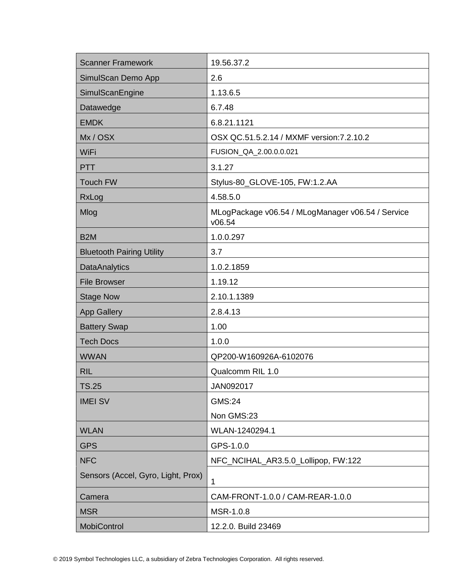| <b>Scanner Framework</b>           | 19.56.37.2                                                  |
|------------------------------------|-------------------------------------------------------------|
| SimulScan Demo App                 | 2.6                                                         |
| SimulScanEngine                    | 1.13.6.5                                                    |
| Datawedge                          | 6.7.48                                                      |
| <b>EMDK</b>                        | 6.8.21.1121                                                 |
| Mx/OSX                             | OSX QC.51.5.2.14 / MXMF version: 7.2.10.2                   |
| WiFi                               | FUSION_QA_2.00.0.0.021                                      |
| <b>PTT</b>                         | 3.1.27                                                      |
| Touch FW                           | Stylus-80_GLOVE-105, FW:1.2.AA                              |
| RxLog                              | 4.58.5.0                                                    |
| Mlog                               | MLogPackage v06.54 / MLogManager v06.54 / Service<br>v06.54 |
| B <sub>2</sub> M                   | 1.0.0.297                                                   |
| <b>Bluetooth Pairing Utility</b>   | 3.7                                                         |
| <b>DataAnalytics</b>               | 1.0.2.1859                                                  |
| <b>File Browser</b>                | 1.19.12                                                     |
| <b>Stage Now</b>                   | 2.10.1.1389                                                 |
| <b>App Gallery</b>                 | 2.8.4.13                                                    |
| <b>Battery Swap</b>                | 1.00                                                        |
| <b>Tech Docs</b>                   | 1.0.0                                                       |
| <b>WWAN</b>                        | QP200-W160926A-6102076                                      |
| <b>RIL</b>                         | Qualcomm RIL 1.0                                            |
| <b>TS.25</b>                       | JAN092017                                                   |
| <b>IMEI SV</b>                     | <b>GMS:24</b>                                               |
|                                    | Non GMS:23                                                  |
| <b>WLAN</b>                        | WLAN-1240294.1                                              |
| <b>GPS</b>                         | GPS-1.0.0                                                   |
| <b>NFC</b>                         | NFC_NCIHAL_AR3.5.0_Lollipop, FW:122                         |
| Sensors (Accel, Gyro, Light, Prox) | 1                                                           |
| Camera                             | CAM-FRONT-1.0.0 / CAM-REAR-1.0.0                            |
| <b>MSR</b>                         | MSR-1.0.8                                                   |
| MobiControl                        | 12.2.0. Build 23469                                         |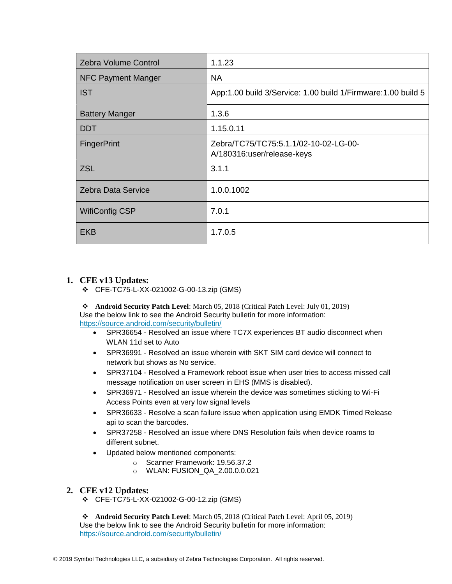| <b>Zebra Volume Control</b> | 1.1.23                                                              |
|-----------------------------|---------------------------------------------------------------------|
| <b>NFC Payment Manger</b>   | NA.                                                                 |
| <b>IST</b>                  | App:1.00 build 3/Service: 1.00 build 1/Firmware: 1.00 build 5       |
| <b>Battery Manger</b>       | 1.3.6                                                               |
| <b>DDT</b>                  | 1.15.0.11                                                           |
| <b>FingerPrint</b>          | Zebra/TC75/TC75:5.1.1/02-10-02-LG-00-<br>A/180316:user/release-keys |
| <b>ZSL</b>                  | 3.1.1                                                               |
| Zebra Data Service          | 1.0.0.1002                                                          |
| <b>WifiConfig CSP</b>       | 7.0.1                                                               |
| <b>EKB</b>                  | 1.7.0.5                                                             |

## **1. CFE v13 Updates:**

❖ CFE-TC75-L-XX-021002-G-00-13.zip (GMS)

❖ **Android Security Patch Level**: March 05, 2018 (Critical Patch Level: July 01, 2019) Use the below link to see the Android Security bulletin for more information: <https://source.android.com/security/bulletin/>

- SPR36654 Resolved an issue where TC7X experiences BT audio disconnect when WLAN 11d set to Auto
- SPR36991 Resolved an issue wherein with SKT SIM card device will connect to network but shows as No service.
- SPR37104 Resolved a Framework reboot issue when user tries to access missed call message notification on user screen in EHS (MMS is disabled).
- SPR36971 Resolved an issue wherein the device was sometimes sticking to Wi-Fi Access Points even at very low signal levels
- SPR36633 Resolve a scan failure issue when application using EMDK Timed Release api to scan the barcodes.
- SPR37258 Resolved an issue where DNS Resolution fails when device roams to different subnet.
- Updated below mentioned components:
	- o Scanner Framework: 19.56.37.2
	- o WLAN: FUSION\_QA\_2.00.0.0.021

## **2. CFE v12 Updates:**

❖ CFE-TC75-L-XX-021002-G-00-12.zip (GMS)

❖ **Android Security Patch Level**: March 05, 2018 (Critical Patch Level: April 05, 2019) Use the below link to see the Android Security bulletin for more information: <https://source.android.com/security/bulletin/>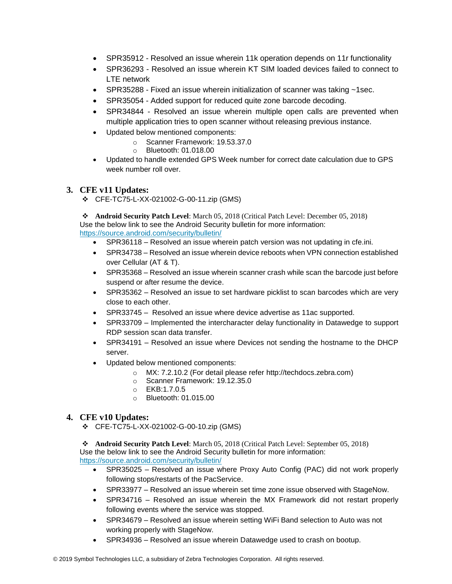- SPR35912 Resolved an issue wherein 11k operation depends on 11r functionality
- SPR36293 Resolved an issue wherein KT SIM loaded devices failed to connect to LTE network
- SPR35288 Fixed an issue wherein initialization of scanner was taking ~1sec.
- SPR35054 Added support for reduced quite zone barcode decoding.
- SPR34844 Resolved an issue wherein multiple open calls are prevented when multiple application tries to open scanner without releasing previous instance.
- Updated below mentioned components:
	- o Scanner Framework: 19.53.37.0
	- o Bluetooth: 01.018.00
- Updated to handle extended GPS Week number for correct date calculation due to GPS week number roll over.

### **3. CFE v11 Updates:**

❖ CFE-TC75-L-XX-021002-G-00-11.zip (GMS)

❖ **Android Security Patch Level**: March 05, 2018 (Critical Patch Level: December 05, 2018) Use the below link to see the Android Security bulletin for more information: <https://source.android.com/security/bulletin/>

- SPR36118 Resolved an issue wherein patch version was not updating in cfe.ini.
- SPR34738 Resolved an issue wherein device reboots when VPN connection established over Cellular (AT & T).
- SPR35368 Resolved an issue wherein scanner crash while scan the barcode just before suspend or after resume the device.
- SPR35362 Resolved an issue to set hardware picklist to scan barcodes which are very close to each other.
- SPR33745 Resolved an issue where device advertise as 11ac supported.
- SPR33709 Implemented the intercharacter delay functionality in Datawedge to support RDP session scan data transfer.
- SPR34191 Resolved an issue where Devices not sending the hostname to the DHCP server.
- Updated below mentioned components:
	- o MX: 7.2.10.2 (For detail please refer [http://techdocs.zebra.com\)](http://techdocs.zebra.com/)
	- o Scanner Framework: 19.12.35.0
	- o EKB:1.7.0.5
	- o Bluetooth: 01.015.00

### **4. CFE v10 Updates:**

❖ CFE-TC75-L-XX-021002-G-00-10.zip (GMS)

❖ **Android Security Patch Level**: March 05, 2018 (Critical Patch Level: September 05, 2018) Use the below link to see the Android Security bulletin for more information: <https://source.android.com/security/bulletin/>

- SPR35025 Resolved an issue where Proxy Auto Config (PAC) did not work properly following stops/restarts of the PacService.
- SPR33977 Resolved an issue wherein set time zone issue observed with StageNow.
- SPR34716 Resolved an issue wherein the MX Framework did not restart properly following events where the service was stopped.
- SPR34679 Resolved an issue wherein setting WiFi Band selection to Auto was not working properly with StageNow.
- SPR34936 Resolved an issue wherein Datawedge used to crash on bootup.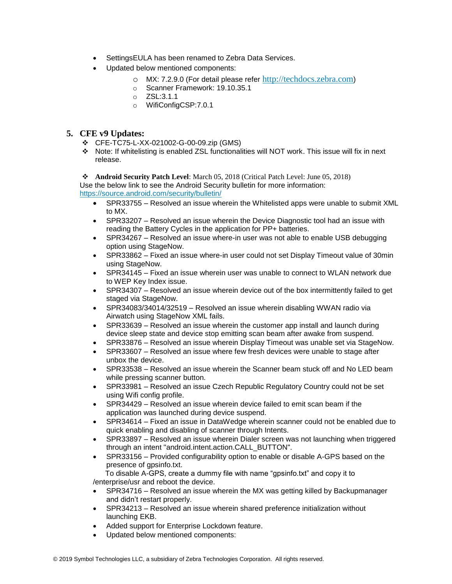- SettingsEULA has been renamed to Zebra Data Services.
- Updated below mentioned components:
	- o MX: 7.2.9.0 (For detail please refer [http://techdocs.zebra.com](http://techdocs.zebra.com/))
	- o Scanner Framework: 19.10.35.1
	- o ZSL:3.1.1
	- o WifiConfigCSP:7.0.1

### **5. CFE v9 Updates:**

- ❖ CFE-TC75-L-XX-021002-G-00-09.zip (GMS)
- ❖ Note: If whitelisting is enabled ZSL functionalities will NOT work. This issue will fix in next release.

## ❖ **Android Security Patch Level**: March 05, 2018 (Critical Patch Level: June 05, 2018)

Use the below link to see the Android Security bulletin for more information: <https://source.android.com/security/bulletin/>

- SPR33755 Resolved an issue wherein the Whitelisted apps were unable to submit XML to MX.
- SPR33207 Resolved an issue wherein the Device Diagnostic tool had an issue with reading the Battery Cycles in the application for PP+ batteries.
- SPR34267 Resolved an issue where-in user was not able to enable USB debugging option using StageNow.
- SPR33862 Fixed an issue where-in user could not set Display Timeout value of 30min using StageNow.
- SPR34145 Fixed an issue wherein user was unable to connect to WLAN network due to WEP Key Index issue.
- SPR34307 Resolved an issue wherein device out of the box intermittently failed to get staged via StageNow.
- SPR34083/34014/32519 Resolved an issue wherein disabling WWAN radio via Airwatch using StageNow XML fails.
- SPR33639 Resolved an issue wherein the customer app install and launch during device sleep state and device stop emitting scan beam after awake from suspend.
- SPR33876 Resolved an issue wherein Display Timeout was unable set via StageNow.
- SPR33607 Resolved an issue where few fresh devices were unable to stage after unbox the device.
- SPR33538 Resolved an issue wherein the Scanner beam stuck off and No LED beam while pressing scanner button.
- SPR33981 Resolved an issue Czech Republic Regulatory Country could not be set using Wifi config profile.
- SPR34429 Resolved an issue wherein device failed to emit scan beam if the application was launched during device suspend.
- SPR34614 Fixed an issue in DataWedge wherein scanner could not be enabled due to quick enabling and disabling of scanner through Intents.
- SPR33897 Resolved an issue wherein Dialer screen was not launching when triggered through an intent "android.intent.action.CALL\_BUTTON".
- SPR33156 Provided configurability option to enable or disable A-GPS based on the presence of gpsinfo.txt.

 To disable A-GPS, create a dummy file with name "gpsinfo.txt" and copy it to /enterprise/usr and reboot the device.

- SPR34716 Resolved an issue wherein the MX was getting killed by Backupmanager and didn't restart properly.
- SPR34213 Resolved an issue wherein shared preference initialization without launching EKB.
- Added support for Enterprise Lockdown feature.
- Updated below mentioned components: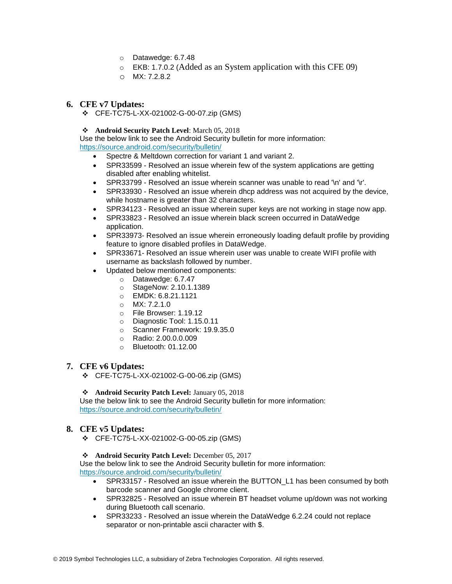- o Datawedge: 6.7.48
- o EKB: 1.7.0.2 (Added as an System application with this CFE 09)
- o MX: 7.2.8.2

#### **6. CFE v7 Updates:**

❖ CFE-TC75-L-XX-021002-G-00-07.zip (GMS)

#### ❖ **Android Security Patch Level**: March 05, 2018

Use the below link to see the Android Security bulletin for more information: <https://source.android.com/security/bulletin/>

- Spectre & Meltdown correction for variant 1 and variant 2.
- SPR33599 Resolved an issue wherein few of the system applications are getting disabled after enabling whitelist.
- SPR33799 Resolved an issue wherein scanner was unable to read '\n' and '\r'.
- SPR33930 Resolved an issue wherein dhcp address was not acquired by the device, while hostname is greater than 32 characters.
- SPR34123 Resolved an issue wherein super keys are not working in stage now app.
- SPR33823 Resolved an issue wherein black screen occurred in DataWedge application.
- SPR33973- Resolved an issue wherein erroneously loading default profile by providing feature to ignore disabled profiles in DataWedge.
- SPR33671- Resolved an issue wherein user was unable to create WIFI profile with username as backslash followed by number.
- Updated below mentioned components:
	- o Datawedge: 6.7.47
	- o StageNow: 2.10.1.1389
	- o EMDK: 6.8.21.1121
	- o MX: 7.2.1.0
	- o File Browser: 1.19.12
	- o Diagnostic Tool: 1.15.0.11
	- o Scanner Framework: 19.9.35.0
	- o Radio: 2.00.0.0.009
	- o Bluetooth: 01.12.00

### **7. CFE v6 Updates:**

❖ CFE-TC75-L-XX-021002-G-00-06.zip (GMS)

#### ❖ **Android Security Patch Level:** January 05, 2018

Use the below link to see the Android Security bulletin for more information: <https://source.android.com/security/bulletin/>

### **8. CFE v5 Updates:**

❖ CFE-TC75-L-XX-021002-G-00-05.zip (GMS)

#### ❖ **Android Security Patch Level:** December 05, 2017

Use the below link to see the Android Security bulletin for more information: <https://source.android.com/security/bulletin/>

- SPR33157 Resolved an issue wherein the BUTTON\_L1 has been consumed by both barcode scanner and Google chrome client.
- SPR32825 Resolved an issue wherein BT headset volume up/down was not working during Bluetooth call scenario.
- SPR33233 Resolved an issue wherein the DataWedge 6.2.24 could not replace separator or non-printable ascii character with \$.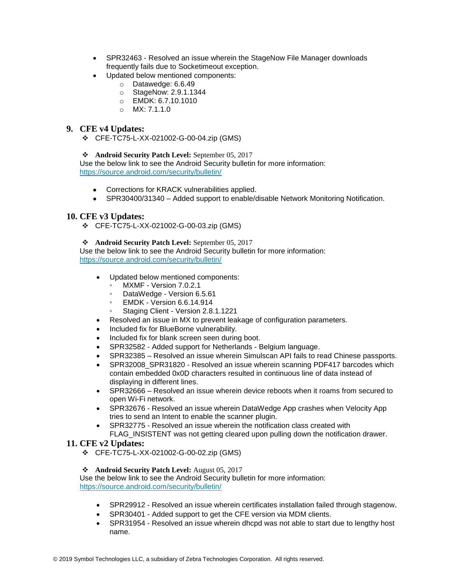- SPR32463 Resolved an issue wherein the StageNow File Manager downloads frequently fails due to Socketimeout exception.
- Updated below mentioned components:
	- o Datawedge: 6.6.49
	- o StageNow: 2.9.1.1344
	- o EMDK: 6.7.10.1010
	- o MX: 7.1.1.0

### **9. CFE v4 Updates:**

❖ CFE-TC75-L-XX-021002-G-00-04.zip (GMS)

❖ **Android Security Patch Level:** September 05, 2017

Use the below link to see the Android Security bulletin for more information: <https://source.android.com/security/bulletin/>

- Corrections for KRACK vulnerabilities applied.
- SPR30400/31340 Added support to enable/disable Network Monitoring Notification.

### **10. CFE v3 Updates:**

❖ CFE-TC75-L-XX-021002-G-00-03.zip (GMS)

#### ❖ **Android Security Patch Level:** September 05, 2017

Use the below link to see the Android Security bulletin for more information: <https://source.android.com/security/bulletin/>

- Updated below mentioned components:
	- MXMF Version 7.0.2.1
	- DataWedge Version 6.5.61
	- EMDK Version 6.6.14.914
	- Staging Client Version 2.8.1.1221
- Resolved an issue in MX to prevent leakage of configuration parameters.
- Included fix for BlueBorne vulnerability.
- Included fix for blank screen seen during boot.
- SPR32582 Added support for Netherlands Belgium language.
- SPR32385 Resolved an issue wherein Simulscan API fails to read Chinese passports.
- SPR32008 SPR31820 Resolved an issue wherein scanning PDF417 barcodes which contain embedded 0x0D characters resulted in continuous line of data instead of displaying in different lines.
- SPR32666 Resolved an issue wherein device reboots when it roams from secured to open Wi-Fi network.
- SPR32676 Resolved an issue wherein DataWedge App crashes when Velocity App tries to send an Intent to enable the scanner plugin.
- SPR32775 Resolved an issue wherein the notification class created with FLAG\_INSISTENT was not getting cleared upon pulling down the notification drawer.

### **11. CFE v2 Updates:**

- ❖ CFE-TC75-L-XX-021002-G-00-02.zip (GMS)
- ❖ **Android Security Patch Level:** August 05, 2017

Use the below link to see the Android Security bulletin for more information: <https://source.android.com/security/bulletin/>

- SPR29912 Resolved an issue wherein certificates installation failed through stagenow.
- SPR30401 Added support to get the CFE version via MDM clients.
- SPR31954 Resolved an issue wherein dhcpd was not able to start due to lengthy host name.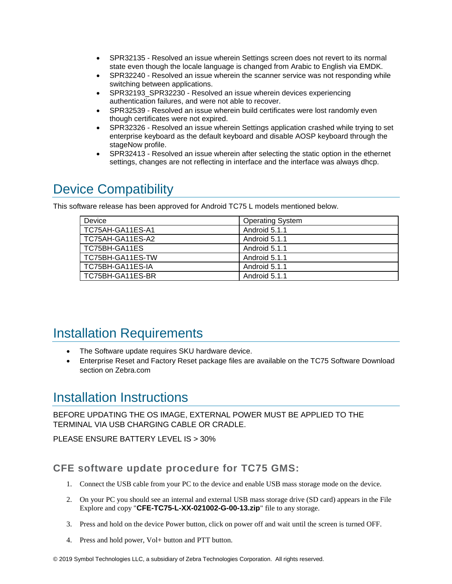- SPR32135 Resolved an issue wherein Settings screen does not revert to its normal state even though the locale language is changed from Arabic to English via EMDK.
- SPR32240 Resolved an issue wherein the scanner service was not responding while switching between applications.
- SPR32193\_SPR32230 Resolved an issue wherein devices experiencing authentication failures, and were not able to recover.
- SPR32539 Resolved an issue wherein build certificates were lost randomly even though certificates were not expired.
- SPR32326 Resolved an issue wherein Settings application crashed while trying to set enterprise keyboard as the default keyboard and disable AOSP keyboard through the stageNow profile.
- SPR32413 Resolved an issue wherein after selecting the static option in the ethernet settings, changes are not reflecting in interface and the interface was always dhcp.

# <span id="page-7-0"></span>Device Compatibility

This software release has been approved for Android TC75 L models mentioned below.

| Device           | <b>Operating System</b> |
|------------------|-------------------------|
| TC75AH-GA11ES-A1 | Android 5.1.1           |
| TC75AH-GA11ES-A2 | Android 5.1.1           |
| TC75BH-GA11ES    | Android 5.1.1           |
| TC75BH-GA11ES-TW | Android 5.1.1           |
| TC75BH-GA11ES-IA | Android 5.1.1           |
| TC75BH-GA11ES-BR | Android 5.1.1           |

# <span id="page-7-2"></span><span id="page-7-1"></span>Installation Requirements

- The Software update requires SKU hardware device.
- Enterprise Reset and Factory Reset package files are available on the TC75 Software Download section on Zebra.com

# <span id="page-7-3"></span>Installation Instructions

BEFORE UPDATING THE OS IMAGE, EXTERNAL POWER MUST BE APPLIED TO THE TERMINAL VIA USB CHARGING CABLE OR CRADLE.

PLEASE ENSURE BATTERY LEVEL IS > 30%

# **CFE software update procedure for TC75 GMS:**

- 1. Connect the USB cable from your PC to the device and enable USB mass storage mode on the device.
- 2. On your PC you should see an internal and external USB mass storage drive (SD card) appears in the File Explore and copy "**CFE-TC75-L-XX-021002-G-00-13.zip**" file to any storage.
- 3. Press and hold on the device Power button, click on power off and wait until the screen is turned OFF.
- 4. Press and hold power, Vol+ button and PTT button.